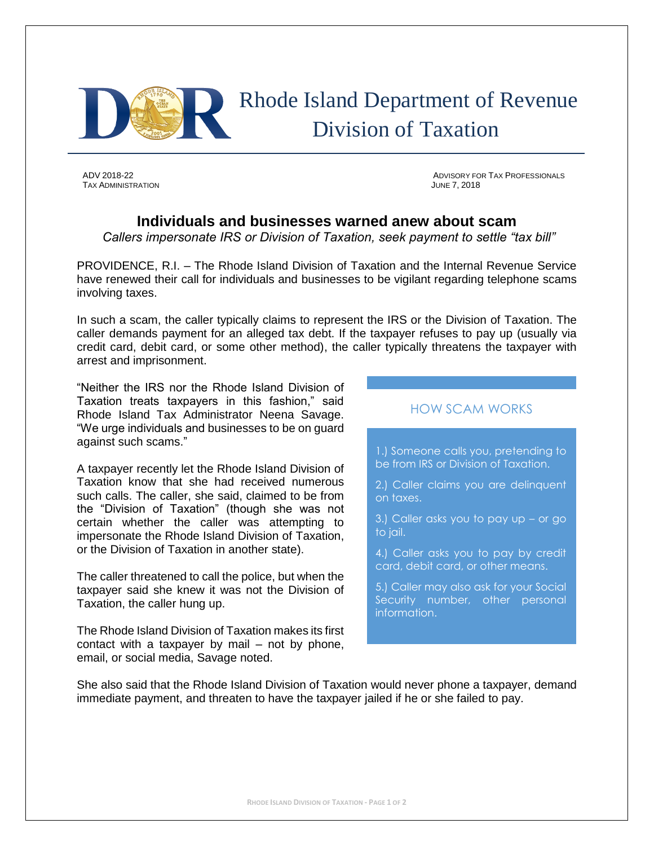

# Rhode Island Department of Revenue Division of Taxation

TAX ADMINISTRATION JUNE 7, 2018

ADV 2018-22 ADVISORY FOR TAX PROFESSIONALS

# **Individuals and businesses warned anew about scam**

*Callers impersonate IRS or Division of Taxation, seek payment to settle "tax bill"*

PROVIDENCE, R.I. – The Rhode Island Division of Taxation and the Internal Revenue Service have renewed their call for individuals and businesses to be vigilant regarding telephone scams involving taxes.

In such a scam, the caller typically claims to represent the IRS or the Division of Taxation. The caller demands payment for an alleged tax debt. If the taxpayer refuses to pay up (usually via credit card, debit card, or some other method), the caller typically threatens the taxpayer with arrest and imprisonment.

"Neither the IRS nor the Rhode Island Division of Taxation treats taxpayers in this fashion," said Rhode Island Tax Administrator Neena Savage. "We urge individuals and businesses to be on guard against such scams."

A taxpayer recently let the Rhode Island Division of Taxation know that she had received numerous such calls. The caller, she said, claimed to be from the "Division of Taxation" (though she was not certain whether the caller was attempting to impersonate the Rhode Island Division of Taxation, or the Division of Taxation in another state).

The caller threatened to call the police, but when the taxpayer said she knew it was not the Division of Taxation, the caller hung up.

The Rhode Island Division of Taxation makes its first contact with a taxpayer by mail – not by phone, email, or social media, Savage noted.

## HOW SCAM WORKS

1.) Someone calls you, pretending to be from IRS or Division of Taxation.

2.) Caller claims you are delinquent on taxes.

3.) Caller asks you to pay up – or go to jail.

4.) Caller asks you to pay by credit card, debit card, or other means.

5.) Caller may also ask for your Social Security number, other personal information.

She also said that the Rhode Island Division of Taxation would never phone a taxpayer, demand immediate payment, and threaten to have the taxpayer jailed if he or she failed to pay.